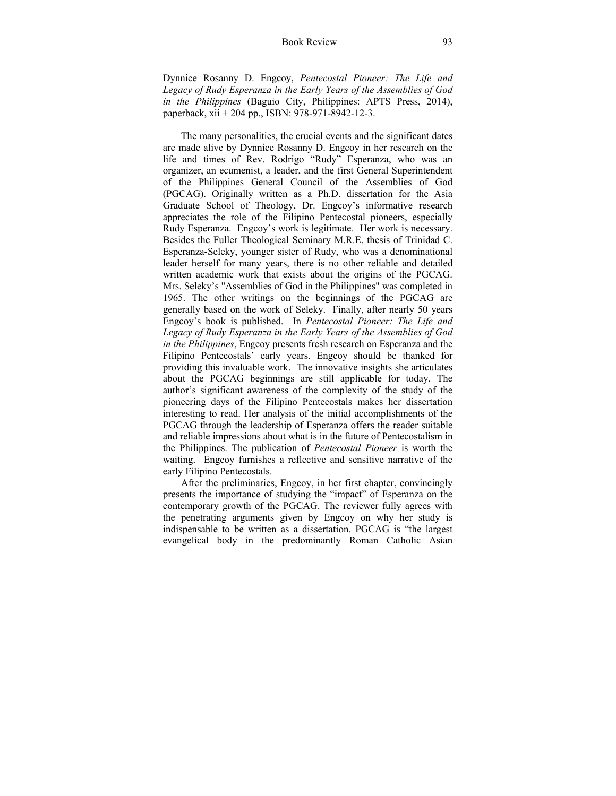## Book Review 93

Dynnice Rosanny D. Engcoy, *Pentecostal Pioneer: The Life and Legacy of Rudy Esperanza in the Early Years of the Assemblies of God in the Philippines* (Baguio City, Philippines: APTS Press, 2014), paperback, xii + 204 pp., ISBN: 978-971-8942-12-3.

The many personalities, the crucial events and the significant dates are made alive by Dynnice Rosanny D. Engcoy in her research on the life and times of Rev. Rodrigo "Rudy" Esperanza, who was an organizer, an ecumenist, a leader, and the first General Superintendent of the Philippines General Council of the Assemblies of God (PGCAG). Originally written as a Ph.D. dissertation for the Asia Graduate School of Theology, Dr. Engcoy's informative research appreciates the role of the Filipino Pentecostal pioneers, especially Rudy Esperanza. Engcoy's work is legitimate. Her work is necessary. Besides the Fuller Theological Seminary M.R.E. thesis of Trinidad C. Esperanza-Seleky, younger sister of Rudy, who was a denominational leader herself for many years, there is no other reliable and detailed written academic work that exists about the origins of the PGCAG. Mrs. Seleky's "Assemblies of God in the Philippines" was completed in 1965. The other writings on the beginnings of the PGCAG are generally based on the work of Seleky. Finally, after nearly 50 years Engcoy's book is published. In *Pentecostal Pioneer: The Life and Legacy of Rudy Esperanza in the Early Years of the Assemblies of God in the Philippines*, Engcoy presents fresh research on Esperanza and the Filipino Pentecostals' early years. Engcoy should be thanked for providing this invaluable work. The innovative insights she articulates about the PGCAG beginnings are still applicable for today. The author's significant awareness of the complexity of the study of the pioneering days of the Filipino Pentecostals makes her dissertation interesting to read. Her analysis of the initial accomplishments of the PGCAG through the leadership of Esperanza offers the reader suitable and reliable impressions about what is in the future of Pentecostalism in the Philippines. The publication of *Pentecostal Pioneer* is worth the waiting. Engcoy furnishes a reflective and sensitive narrative of the early Filipino Pentecostals.

After the preliminaries, Engcoy, in her first chapter, convincingly presents the importance of studying the "impact" of Esperanza on the contemporary growth of the PGCAG. The reviewer fully agrees with the penetrating arguments given by Engcoy on why her study is indispensable to be written as a dissertation. PGCAG is "the largest evangelical body in the predominantly Roman Catholic Asian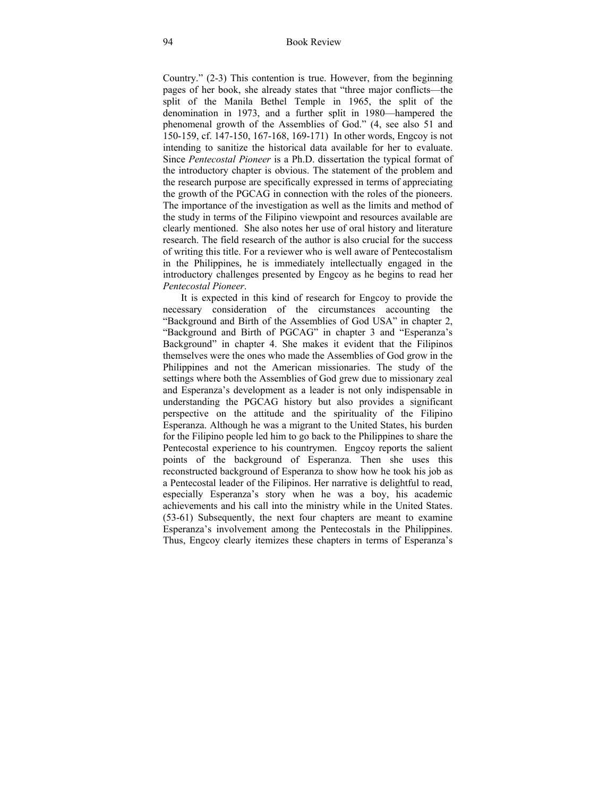Country." (2-3) This contention is true. However, from the beginning pages of her book, she already states that "three major conflicts—the split of the Manila Bethel Temple in 1965, the split of the denomination in 1973, and a further split in 1980—hampered the phenomenal growth of the Assemblies of God." (4, see also 51 and 150-159, cf. 147-150, 167-168, 169-171) In other words, Engcoy is not intending to sanitize the historical data available for her to evaluate. Since *Pentecostal Pioneer* is a Ph.D. dissertation the typical format of the introductory chapter is obvious. The statement of the problem and the research purpose are specifically expressed in terms of appreciating the growth of the PGCAG in connection with the roles of the pioneers. The importance of the investigation as well as the limits and method of the study in terms of the Filipino viewpoint and resources available are clearly mentioned. She also notes her use of oral history and literature research. The field research of the author is also crucial for the success of writing this title. For a reviewer who is well aware of Pentecostalism in the Philippines, he is immediately intellectually engaged in the introductory challenges presented by Engcoy as he begins to read her *Pentecostal Pioneer*.

It is expected in this kind of research for Engcoy to provide the necessary consideration of the circumstances accounting the "Background and Birth of the Assemblies of God USA" in chapter 2, "Background and Birth of PGCAG" in chapter 3 and "Esperanza's Background" in chapter 4. She makes it evident that the Filipinos themselves were the ones who made the Assemblies of God grow in the Philippines and not the American missionaries. The study of the settings where both the Assemblies of God grew due to missionary zeal and Esperanza's development as a leader is not only indispensable in understanding the PGCAG history but also provides a significant perspective on the attitude and the spirituality of the Filipino Esperanza. Although he was a migrant to the United States, his burden for the Filipino people led him to go back to the Philippines to share the Pentecostal experience to his countrymen. Engcoy reports the salient points of the background of Esperanza. Then she uses this reconstructed background of Esperanza to show how he took his job as a Pentecostal leader of the Filipinos. Her narrative is delightful to read, especially Esperanza's story when he was a boy, his academic achievements and his call into the ministry while in the United States. (53-61) Subsequently, the next four chapters are meant to examine Esperanza's involvement among the Pentecostals in the Philippines. Thus, Engcoy clearly itemizes these chapters in terms of Esperanza's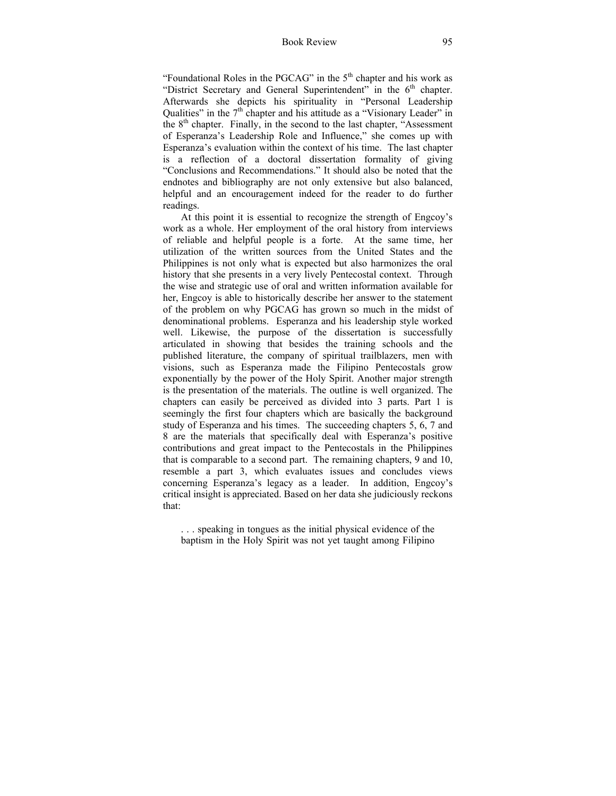## Book Review 95

"Foundational Roles in the PGCAG" in the  $5<sup>th</sup>$  chapter and his work as "District Secretary and General Superintendent" in the  $6<sup>th</sup>$  chapter. Afterwards she depicts his spirituality in "Personal Leadership Qualities" in the  $7<sup>th</sup>$  chapter and his attitude as a "Visionary Leader" in the  $8<sup>th</sup>$  chapter. Finally, in the second to the last chapter, "Assessment" of Esperanza's Leadership Role and Influence," she comes up with Esperanza's evaluation within the context of his time. The last chapter is a reflection of a doctoral dissertation formality of giving "Conclusions and Recommendations." It should also be noted that the endnotes and bibliography are not only extensive but also balanced, helpful and an encouragement indeed for the reader to do further readings.

At this point it is essential to recognize the strength of Engcoy's work as a whole. Her employment of the oral history from interviews of reliable and helpful people is a forte. At the same time, her utilization of the written sources from the United States and the Philippines is not only what is expected but also harmonizes the oral history that she presents in a very lively Pentecostal context. Through the wise and strategic use of oral and written information available for her, Engcoy is able to historically describe her answer to the statement of the problem on why PGCAG has grown so much in the midst of denominational problems. Esperanza and his leadership style worked well. Likewise, the purpose of the dissertation is successfully articulated in showing that besides the training schools and the published literature, the company of spiritual trailblazers, men with visions, such as Esperanza made the Filipino Pentecostals grow exponentially by the power of the Holy Spirit. Another major strength is the presentation of the materials. The outline is well organized. The chapters can easily be perceived as divided into 3 parts. Part 1 is seemingly the first four chapters which are basically the background study of Esperanza and his times. The succeeding chapters 5, 6, 7 and 8 are the materials that specifically deal with Esperanza's positive contributions and great impact to the Pentecostals in the Philippines that is comparable to a second part. The remaining chapters, 9 and 10, resemble a part 3, which evaluates issues and concludes views concerning Esperanza's legacy as a leader. In addition, Engcoy's critical insight is appreciated. Based on her data she judiciously reckons that:

. . . speaking in tongues as the initial physical evidence of the baptism in the Holy Spirit was not yet taught among Filipino